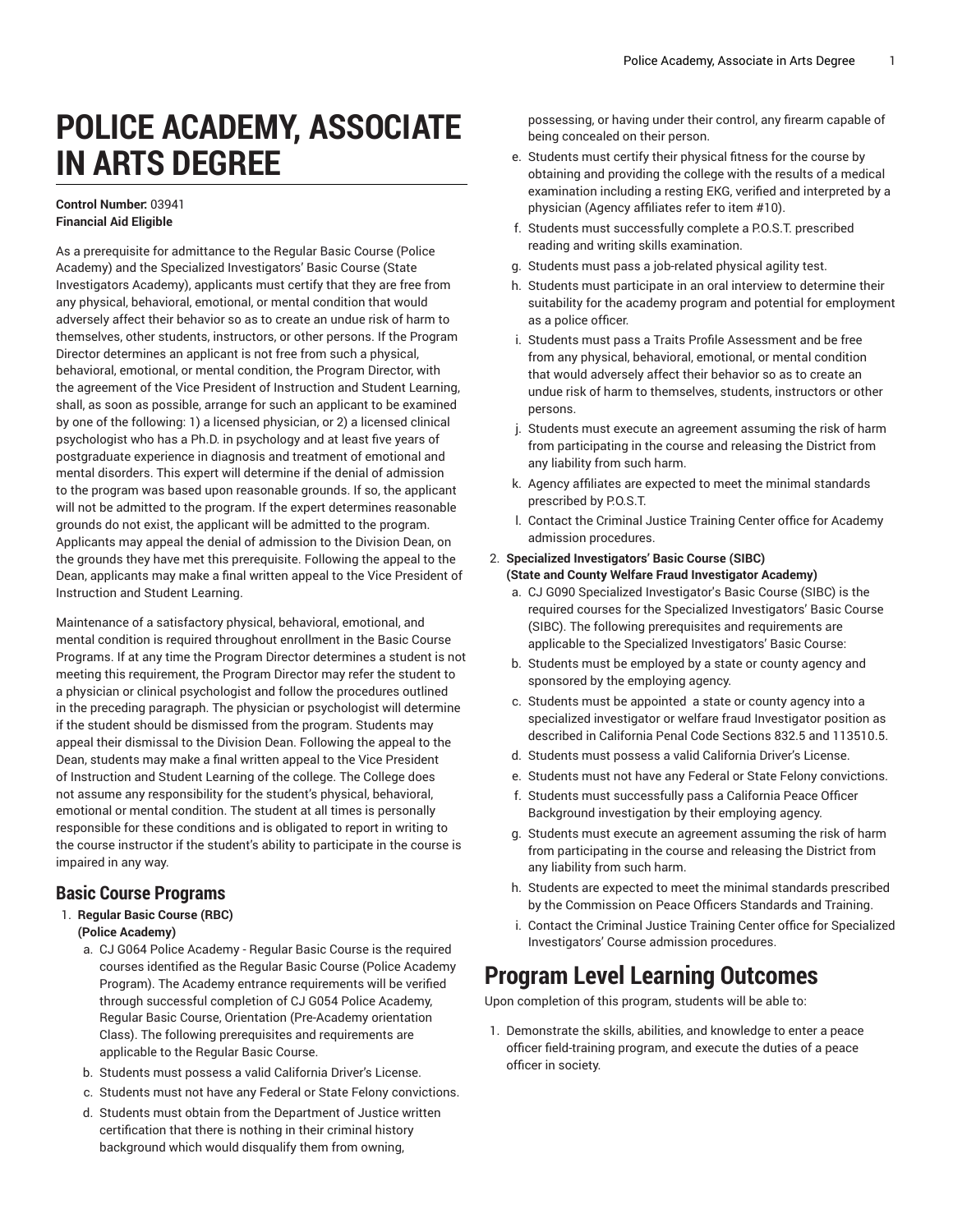# **POLICE ACADEMY, ASSOCIATE IN ARTS DEGREE**

#### **Control Number:** 03941 **Financial Aid Eligible**

As a prerequisite for admittance to the Regular Basic Course (Police Academy) and the Specialized Investigators' Basic Course (State Investigators Academy), applicants must certify that they are free from any physical, behavioral, emotional, or mental condition that would adversely affect their behavior so as to create an undue risk of harm to themselves, other students, instructors, or other persons. If the Program Director determines an applicant is not free from such a physical, behavioral, emotional, or mental condition, the Program Director, with the agreement of the Vice President of Instruction and Student Learning, shall, as soon as possible, arrange for such an applicant to be examined by one of the following: 1) a licensed physician, or 2) a licensed clinical psychologist who has a Ph.D. in psychology and at least five years of postgraduate experience in diagnosis and treatment of emotional and mental disorders. This expert will determine if the denial of admission to the program was based upon reasonable grounds. If so, the applicant will not be admitted to the program. If the expert determines reasonable grounds do not exist, the applicant will be admitted to the program. Applicants may appeal the denial of admission to the Division Dean, on the grounds they have met this prerequisite. Following the appeal to the Dean, applicants may make a final written appeal to the Vice President of Instruction and Student Learning.

Maintenance of a satisfactory physical, behavioral, emotional, and mental condition is required throughout enrollment in the Basic Course Programs. If at any time the Program Director determines a student is not meeting this requirement, the Program Director may refer the student to a physician or clinical psychologist and follow the procedures outlined in the preceding paragraph. The physician or psychologist will determine if the student should be dismissed from the program. Students may appeal their dismissal to the Division Dean. Following the appeal to the Dean, students may make a final written appeal to the Vice President of Instruction and Student Learning of the college. The College does not assume any responsibility for the student's physical, behavioral, emotional or mental condition. The student at all times is personally responsible for these conditions and is obligated to report in writing to the course instructor if the student's ability to participate in the course is impaired in any way.

### **Basic Course Programs**

- 1. **Regular Basic Course (RBC) (Police Academy)**
	- a. CJ G064 Police Academy Regular Basic Course is the required courses identified as the Regular Basic Course (Police Academy Program). The Academy entrance requirements will be verified through successful completion of CJ G054 Police Academy, Regular Basic Course, Orientation (Pre-Academy orientation Class). The following prerequisites and requirements are applicable to the Regular Basic Course.
	- b. Students must possess a valid California Driver's License.
	- c. Students must not have any Federal or State Felony convictions.
	- d. Students must obtain from the Department of Justice written certification that there is nothing in their criminal history background which would disqualify them from owning,

possessing, or having under their control, any firearm capable of being concealed on their person.

- e. Students must certify their physical fitness for the course by obtaining and providing the college with the results of a medical examination including a resting EKG, verified and interpreted by a physician (Agency affiliates refer to item #10).
- f. Students must successfully complete a P.O.S.T. prescribed reading and writing skills examination.
- g. Students must pass a job-related physical agility test.
- h. Students must participate in an oral interview to determine their suitability for the academy program and potential for employment as a police officer.
- i. Students must pass a Traits Profile Assessment and be free from any physical, behavioral, emotional, or mental condition that would adversely affect their behavior so as to create an undue risk of harm to themselves, students, instructors or other persons.
- j. Students must execute an agreement assuming the risk of harm from participating in the course and releasing the District from any liability from such harm.
- k. Agency affiliates are expected to meet the minimal standards prescribed by P.O.S.T.
- l. Contact the Criminal Justice Training Center office for Academy admission procedures.

#### 2. **Specialized Investigators' Basic Course (SIBC) (State and County Welfare Fraud Investigator Academy)**

- a. CJ G090 Specialized Investigator's Basic Course (SIBC) is the required courses for the Specialized Investigators' Basic Course (SIBC). The following prerequisites and requirements are applicable to the Specialized Investigators' Basic Course:
- b. Students must be employed by a state or county agency and sponsored by the employing agency.
- c. Students must be appointed a state or county agency into a specialized investigator or welfare fraud Investigator position as described in California Penal Code Sections 832.5 and 113510.5.
- d. Students must possess a valid California Driver's License.
- e. Students must not have any Federal or State Felony convictions.
- f. Students must successfully pass a California Peace Officer Background investigation by their employing agency.
- g. Students must execute an agreement assuming the risk of harm from participating in the course and releasing the District from any liability from such harm.
- h. Students are expected to meet the minimal standards prescribed by the Commission on Peace Officers Standards and Training.
- i. Contact the Criminal Justice Training Center office for Specialized Investigators' Course admission procedures.

## **Program Level Learning Outcomes**

Upon completion of this program, students will be able to:

1. Demonstrate the skills, abilities, and knowledge to enter a peace officer field-training program, and execute the duties of a peace officer in society.